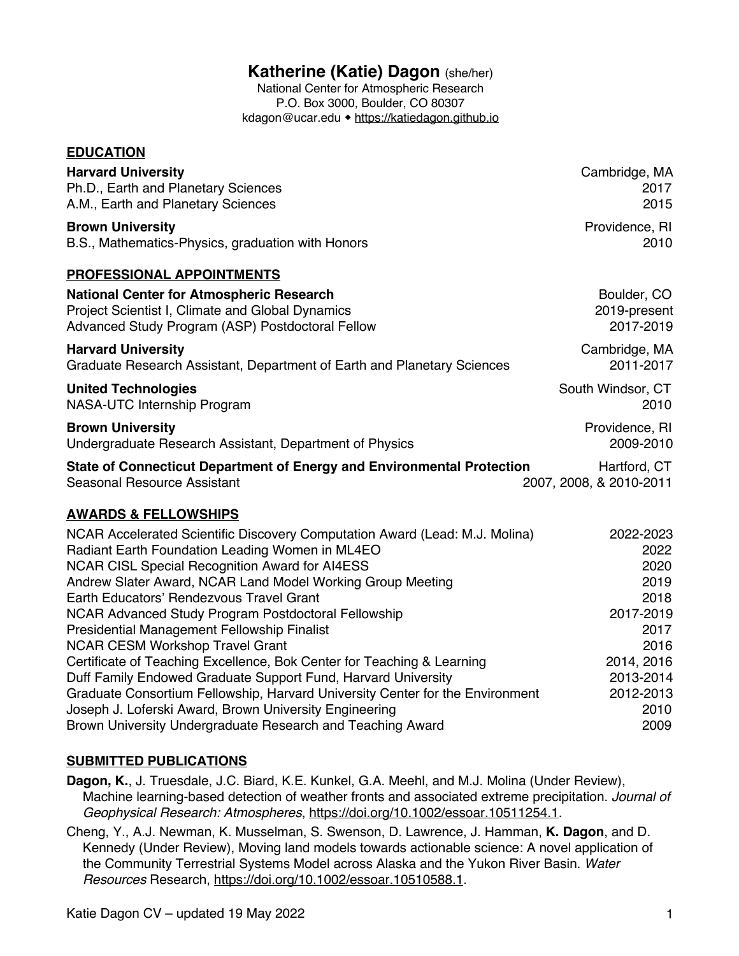# **Katherine (Katie) Dagon** (she/her)

National Center for Atmospheric Research P.O. Box 3000, Boulder, CO 80307 kdagon@ucar.edu • https://katiedagon.github.io

| <b>EDUCATION</b>                                                              |                         |
|-------------------------------------------------------------------------------|-------------------------|
| <b>Harvard University</b>                                                     | Cambridge, MA           |
| Ph.D., Earth and Planetary Sciences                                           | 2017                    |
| A.M., Earth and Planetary Sciences                                            | 2015                    |
| <b>Brown University</b>                                                       | Providence, RI          |
| B.S., Mathematics-Physics, graduation with Honors                             | 2010                    |
| <b>PROFESSIONAL APPOINTMENTS</b>                                              |                         |
| <b>National Center for Atmospheric Research</b>                               | Boulder, CO             |
| Project Scientist I, Climate and Global Dynamics                              | 2019-present            |
| Advanced Study Program (ASP) Postdoctoral Fellow                              | 2017-2019               |
| <b>Harvard University</b>                                                     | Cambridge, MA           |
| Graduate Research Assistant, Department of Earth and Planetary Sciences       | 2011-2017               |
| <b>United Technologies</b>                                                    | South Windsor, CT       |
| NASA-UTC Internship Program                                                   | 2010                    |
| <b>Brown University</b>                                                       | Providence, RI          |
| Undergraduate Research Assistant, Department of Physics                       | 2009-2010               |
| State of Connecticut Department of Energy and Environmental Protection        | Hartford, CT            |
| Seasonal Resource Assistant                                                   | 2007, 2008, & 2010-2011 |
| <b>AWARDS &amp; FELLOWSHIPS</b>                                               |                         |
| NCAR Accelerated Scientific Discovery Computation Award (Lead: M.J. Molina)   | 2022-2023               |
| Radiant Earth Foundation Leading Women in ML4EO                               | 2022                    |
| <b>NCAR CISL Special Recognition Award for AI4ESS</b>                         | 2020                    |
| Andrew Slater Award, NCAR Land Model Working Group Meeting                    | 2019                    |
| Earth Educators' Rendezvous Travel Grant                                      | 2018                    |
| NCAR Advanced Study Program Postdoctoral Fellowship                           | 2017-2019               |
| <b>Presidential Management Fellowship Finalist</b>                            | 2017                    |
| <b>NCAR CESM Workshop Travel Grant</b>                                        | 2016                    |
| Certificate of Teaching Excellence, Bok Center for Teaching & Learning        | 2014, 2016              |
| Duff Family Endowed Graduate Support Fund, Harvard University                 | 2013-2014               |
| Graduate Consortium Fellowship, Harvard University Center for the Environment | 2012-2013               |
| Joseph J. Loferski Award, Brown University Engineering                        | 2010                    |
| Brown University Undergraduate Research and Teaching Award                    | 2009                    |

#### **SUBMITTED PUBLICATIONS**

**Dagon, K.**, J. Truesdale, J.C. Biard, K.E. Kunkel, G.A. Meehl, and M.J. Molina (Under Review), Machine learning-based detection of weather fronts and associated extreme precipitation. *Journal of Geophysical Research: Atmospheres*, https://doi.org/10.1002/essoar.10511254.1.

Cheng, Y., A.J. Newman, K. Musselman, S. Swenson, D. Lawrence, J. Hamman, **K. Dagon**, and D. Kennedy (Under Review), Moving land models towards actionable science: A novel application of the Community Terrestrial Systems Model across Alaska and the Yukon River Basin. *Water Resources* Research, https://doi.org/10.1002/essoar.10510588.1.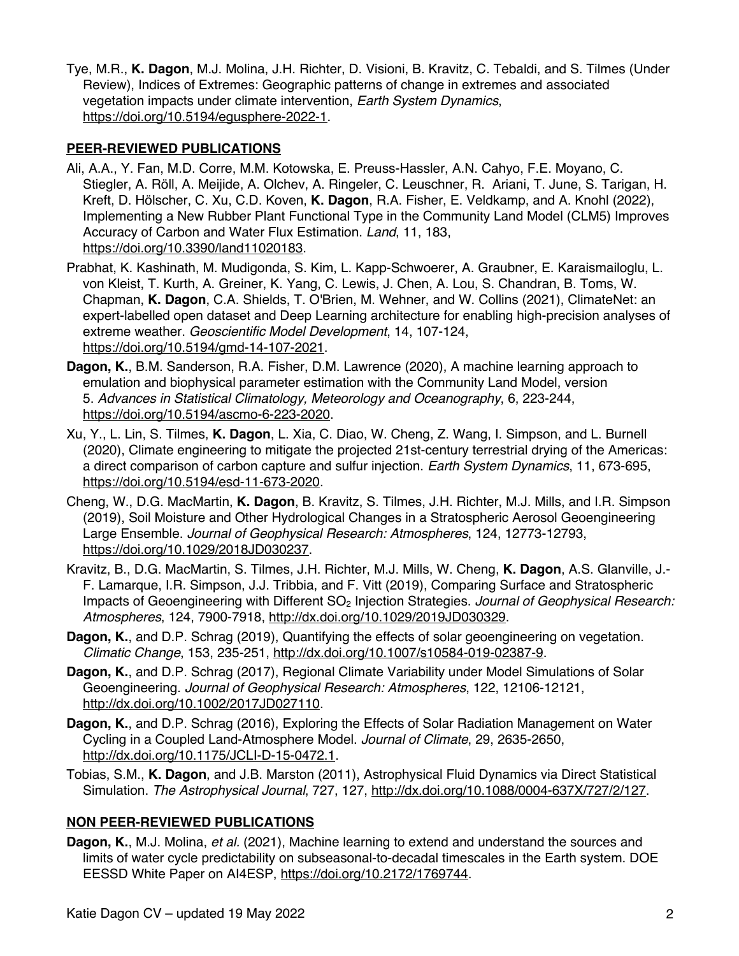Tye, M.R., **K. Dagon**, M.J. Molina, J.H. Richter, D. Visioni, B. Kravitz, C. Tebaldi, and S. Tilmes (Under Review), Indices of Extremes: Geographic patterns of change in extremes and associated vegetation impacts under climate intervention, *Earth System Dynamics*, https://doi.org/10.5194/egusphere-2022-1.

#### **PEER-REVIEWED PUBLICATIONS**

- Ali, A.A., Y. Fan, M.D. Corre, M.M. Kotowska, E. Preuss-Hassler, A.N. Cahyo, F.E. Moyano, C. Stiegler, A. Röll, A. Meijide, A. Olchev, A. Ringeler, C. Leuschner, R. Ariani, T. June, S. Tarigan, H. Kreft, D. Hölscher, C. Xu, C.D. Koven, **K. Dagon**, R.A. Fisher, E. Veldkamp, and A. Knohl (2022), Implementing a New Rubber Plant Functional Type in the Community Land Model (CLM5) Improves Accuracy of Carbon and Water Flux Estimation. *Land*, 11, 183, https://doi.org/10.3390/land11020183.
- Prabhat, K. Kashinath, M. Mudigonda, S. Kim, L. Kapp-Schwoerer, A. Graubner, E. Karaismailoglu, L. von Kleist, T. Kurth, A. Greiner, K. Yang, C. Lewis, J. Chen, A. Lou, S. Chandran, B. Toms, W. Chapman, **K. Dagon**, C.A. Shields, T. O'Brien, M. Wehner, and W. Collins (2021), ClimateNet: an expert-labelled open dataset and Deep Learning architecture for enabling high-precision analyses of extreme weather. *Geoscientific Model Development*, 14, 107-124, https://doi.org/10.5194/gmd-14-107-2021.
- **Dagon, K.**, B.M. Sanderson, R.A. Fisher, D.M. Lawrence (2020), A machine learning approach to emulation and biophysical parameter estimation with the Community Land Model, version 5. *Advances in Statistical Climatology, Meteorology and Oceanography*, 6, 223-244, https://doi.org/10.5194/ascmo-6-223-2020.
- Xu, Y., L. Lin, S. Tilmes, **K. Dagon**, L. Xia, C. Diao, W. Cheng, Z. Wang, I. Simpson, and L. Burnell (2020), Climate engineering to mitigate the projected 21st-century terrestrial drying of the Americas: a direct comparison of carbon capture and sulfur injection. *Earth System Dynamics*, 11, 673-695, https://doi.org/10.5194/esd-11-673-2020.
- Cheng, W., D.G. MacMartin, **K. Dagon**, B. Kravitz, S. Tilmes, J.H. Richter, M.J. Mills, and I.R. Simpson (2019), Soil Moisture and Other Hydrological Changes in a Stratospheric Aerosol Geoengineering Large Ensemble. *Journal of Geophysical Research: Atmospheres*, 124, 12773-12793, https://doi.org/10.1029/2018JD030237.
- Kravitz, B., D.G. MacMartin, S. Tilmes, J.H. Richter, M.J. Mills, W. Cheng, **K. Dagon**, A.S. Glanville, J.- F. Lamarque, I.R. Simpson, J.J. Tribbia, and F. Vitt (2019), Comparing Surface and Stratospheric Impacts of Geoengineering with Different SO2 Injection Strategies. *Journal of Geophysical Research: Atmospheres*, 124, 7900-7918, http://dx.doi.org/10.1029/2019JD030329.
- **Dagon, K.**, and D.P. Schrag (2019), Quantifying the effects of solar geoengineering on vegetation. *Climatic Change*, 153, 235-251, http://dx.doi.org/10.1007/s10584-019-02387-9.
- **Dagon, K.**, and D.P. Schrag (2017), Regional Climate Variability under Model Simulations of Solar Geoengineering. *Journal of Geophysical Research: Atmospheres*, 122, 12106-12121, http://dx.doi.org/10.1002/2017JD027110.
- **Dagon, K.**, and D.P. Schrag (2016), Exploring the Effects of Solar Radiation Management on Water Cycling in a Coupled Land-Atmosphere Model. *Journal of Climate*, 29, 2635-2650, http://dx.doi.org/10.1175/JCLI-D-15-0472.1.
- Tobias, S.M., **K. Dagon**, and J.B. Marston (2011), Astrophysical Fluid Dynamics via Direct Statistical Simulation. *The Astrophysical Journal*, 727, 127, http://dx.doi.org/10.1088/0004-637X/727/2/127.

#### **NON PEER-REVIEWED PUBLICATIONS**

**Dagon, K.**, M.J. Molina, *et al.* (2021), Machine learning to extend and understand the sources and limits of water cycle predictability on subseasonal-to-decadal timescales in the Earth system. DOE EESSD White Paper on AI4ESP, https://doi.org/10.2172/1769744.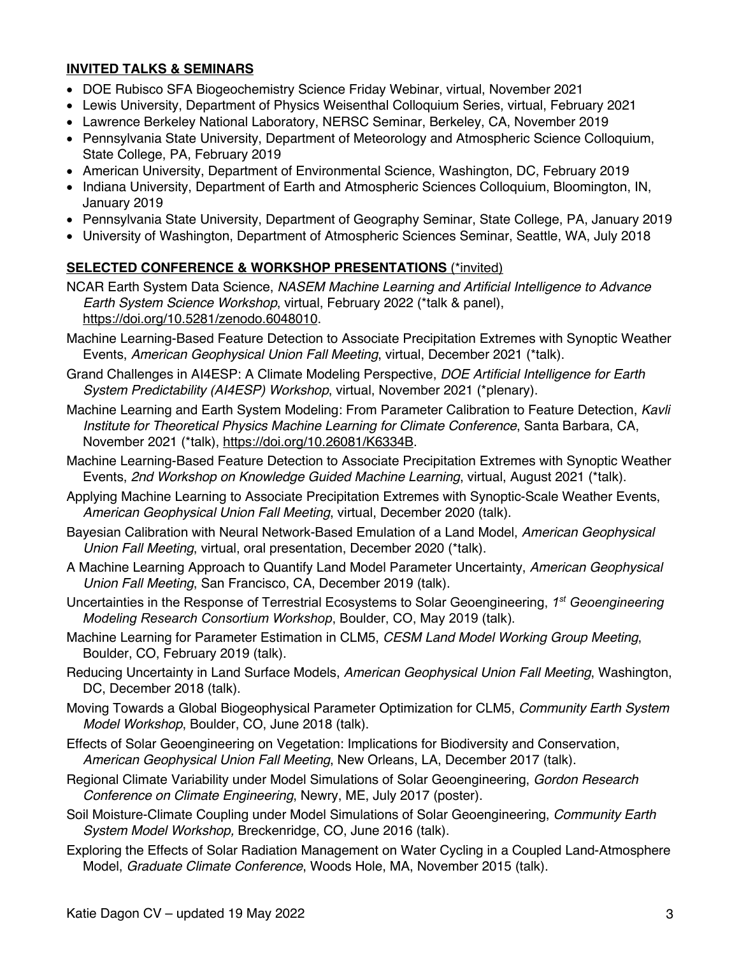#### **INVITED TALKS & SEMINARS**

- DOE Rubisco SFA Biogeochemistry Science Friday Webinar, virtual, November 2021
- Lewis University, Department of Physics Weisenthal Colloquium Series, virtual, February 2021
- Lawrence Berkeley National Laboratory, NERSC Seminar, Berkeley, CA, November 2019
- Pennsylvania State University, Department of Meteorology and Atmospheric Science Colloquium, State College, PA, February 2019
- American University, Department of Environmental Science, Washington, DC, February 2019
- Indiana University, Department of Earth and Atmospheric Sciences Colloquium, Bloomington, IN, January 2019
- Pennsylvania State University, Department of Geography Seminar, State College, PA, January 2019
- University of Washington, Department of Atmospheric Sciences Seminar, Seattle, WA, July 2018

#### **SELECTED CONFERENCE & WORKSHOP PRESENTATIONS** (\*invited)

- NCAR Earth System Data Science, *NASEM Machine Learning and Artificial Intelligence to Advance Earth System Science Workshop*, virtual, February 2022 (\*talk & panel), https://doi.org/10.5281/zenodo.6048010.
- Machine Learning-Based Feature Detection to Associate Precipitation Extremes with Synoptic Weather Events, *American Geophysical Union Fall Meeting*, virtual, December 2021 (\*talk).
- Grand Challenges in AI4ESP: A Climate Modeling Perspective, *DOE Artificial Intelligence for Earth System Predictability (AI4ESP) Workshop*, virtual, November 2021 (\*plenary).
- Machine Learning and Earth System Modeling: From Parameter Calibration to Feature Detection, *Kavli Institute for Theoretical Physics Machine Learning for Climate Conference*, Santa Barbara, CA, November 2021 (\*talk), https://doi.org/10.26081/K6334B.
- Machine Learning-Based Feature Detection to Associate Precipitation Extremes with Synoptic Weather Events, *2nd Workshop on Knowledge Guided Machine Learning*, virtual, August 2021 (\*talk).
- Applying Machine Learning to Associate Precipitation Extremes with Synoptic-Scale Weather Events, *American Geophysical Union Fall Meeting*, virtual, December 2020 (talk).
- Bayesian Calibration with Neural Network-Based Emulation of a Land Model, *American Geophysical Union Fall Meeting*, virtual, oral presentation, December 2020 (\*talk).
- A Machine Learning Approach to Quantify Land Model Parameter Uncertainty, *American Geophysical Union Fall Meeting*, San Francisco, CA, December 2019 (talk).
- Uncertainties in the Response of Terrestrial Ecosystems to Solar Geoengineering, *1st Geoengineering Modeling Research Consortium Workshop*, Boulder, CO, May 2019 (talk).
- Machine Learning for Parameter Estimation in CLM5, *CESM Land Model Working Group Meeting*, Boulder, CO, February 2019 (talk).
- Reducing Uncertainty in Land Surface Models, *American Geophysical Union Fall Meeting*, Washington, DC, December 2018 (talk).
- Moving Towards a Global Biogeophysical Parameter Optimization for CLM5, *Community Earth System Model Workshop*, Boulder, CO, June 2018 (talk).
- Effects of Solar Geoengineering on Vegetation: Implications for Biodiversity and Conservation, *American Geophysical Union Fall Meeting*, New Orleans, LA, December 2017 (talk).
- Regional Climate Variability under Model Simulations of Solar Geoengineering, *Gordon Research Conference on Climate Engineering*, Newry, ME, July 2017 (poster).
- Soil Moisture-Climate Coupling under Model Simulations of Solar Geoengineering, *Community Earth System Model Workshop,* Breckenridge, CO, June 2016 (talk).
- Exploring the Effects of Solar Radiation Management on Water Cycling in a Coupled Land-Atmosphere Model, *Graduate Climate Conference*, Woods Hole, MA, November 2015 (talk).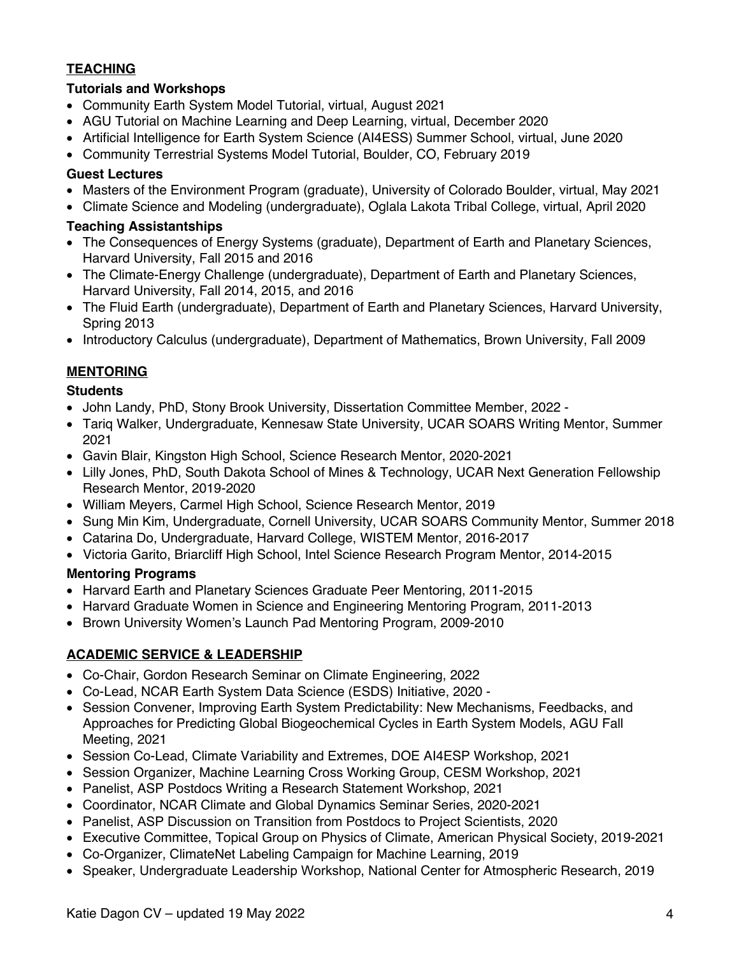## **TEACHING**

#### **Tutorials and Workshops**

- Community Earth System Model Tutorial, virtual, August 2021
- AGU Tutorial on Machine Learning and Deep Learning, virtual, December 2020
- Artificial Intelligence for Earth System Science (AI4ESS) Summer School, virtual, June 2020
- Community Terrestrial Systems Model Tutorial, Boulder, CO, February 2019

#### **Guest Lectures**

- Masters of the Environment Program (graduate), University of Colorado Boulder, virtual, May 2021
- Climate Science and Modeling (undergraduate), Oglala Lakota Tribal College, virtual, April 2020

#### **Teaching Assistantships**

- The Consequences of Energy Systems (graduate), Department of Earth and Planetary Sciences, Harvard University, Fall 2015 and 2016
- The Climate-Energy Challenge (undergraduate), Department of Earth and Planetary Sciences, Harvard University, Fall 2014, 2015, and 2016
- The Fluid Earth (undergraduate), Department of Earth and Planetary Sciences, Harvard University, Spring 2013
- Introductory Calculus (undergraduate), Department of Mathematics, Brown University, Fall 2009

#### **MENTORING**

#### **Students**

- John Landy, PhD, Stony Brook University, Dissertation Committee Member, 2022 -
- Tariq Walker, Undergraduate, Kennesaw State University, UCAR SOARS Writing Mentor, Summer 2021
- Gavin Blair, Kingston High School, Science Research Mentor, 2020-2021
- Lilly Jones, PhD, South Dakota School of Mines & Technology, UCAR Next Generation Fellowship Research Mentor, 2019-2020
- William Meyers, Carmel High School, Science Research Mentor, 2019
- Sung Min Kim, Undergraduate, Cornell University, UCAR SOARS Community Mentor, Summer 2018
- Catarina Do, Undergraduate, Harvard College, WISTEM Mentor, 2016-2017
- Victoria Garito, Briarcliff High School, Intel Science Research Program Mentor, 2014-2015

#### **Mentoring Programs**

- Harvard Earth and Planetary Sciences Graduate Peer Mentoring, 2011-2015
- Harvard Graduate Women in Science and Engineering Mentoring Program, 2011-2013
- Brown University Women's Launch Pad Mentoring Program, 2009-2010

#### **ACADEMIC SERVICE & LEADERSHIP**

- Co-Chair, Gordon Research Seminar on Climate Engineering, 2022
- Co-Lead, NCAR Earth System Data Science (ESDS) Initiative, 2020 -
- Session Convener, Improving Earth System Predictability: New Mechanisms, Feedbacks, and Approaches for Predicting Global Biogeochemical Cycles in Earth System Models, AGU Fall Meeting, 2021
- Session Co-Lead, Climate Variability and Extremes, DOE AI4ESP Workshop, 2021
- Session Organizer, Machine Learning Cross Working Group, CESM Workshop, 2021
- Panelist, ASP Postdocs Writing a Research Statement Workshop, 2021
- Coordinator, NCAR Climate and Global Dynamics Seminar Series, 2020-2021
- Panelist, ASP Discussion on Transition from Postdocs to Project Scientists, 2020
- Executive Committee, Topical Group on Physics of Climate, American Physical Society, 2019-2021
- Co-Organizer, ClimateNet Labeling Campaign for Machine Learning, 2019
- Speaker, Undergraduate Leadership Workshop, National Center for Atmospheric Research, 2019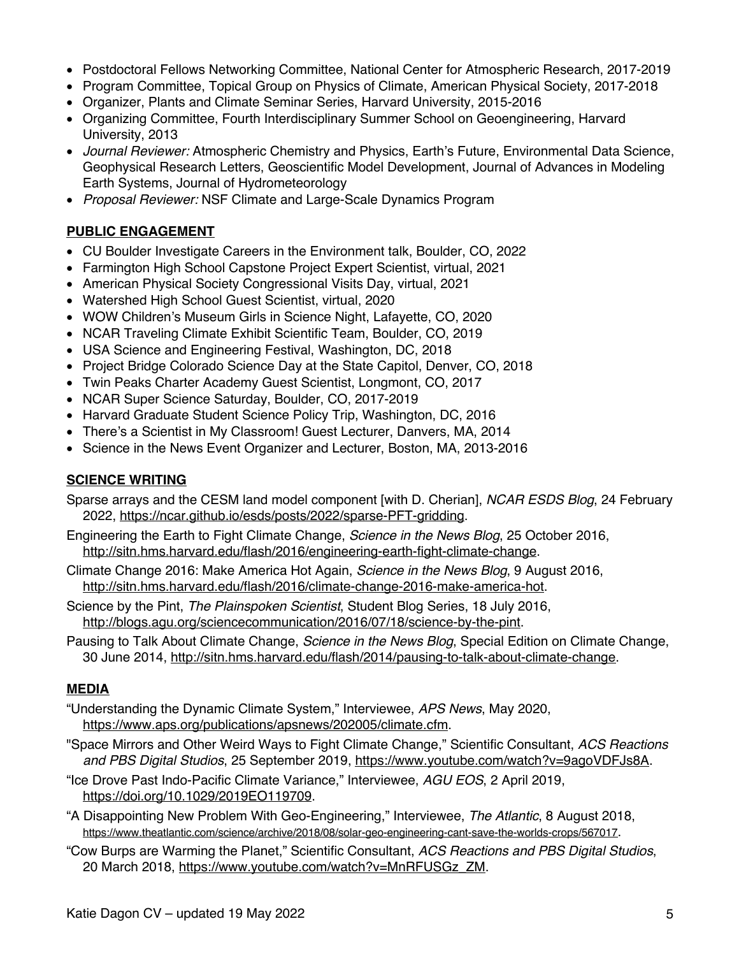- Postdoctoral Fellows Networking Committee, National Center for Atmospheric Research, 2017-2019
- Program Committee, Topical Group on Physics of Climate, American Physical Society, 2017-2018
- Organizer, Plants and Climate Seminar Series, Harvard University, 2015-2016
- Organizing Committee, Fourth Interdisciplinary Summer School on Geoengineering, Harvard University, 2013
- *Journal Reviewer:* Atmospheric Chemistry and Physics, Earth's Future, Environmental Data Science, Geophysical Research Letters, Geoscientific Model Development, Journal of Advances in Modeling Earth Systems, Journal of Hydrometeorology
- *Proposal Reviewer:* NSF Climate and Large-Scale Dynamics Program

## **PUBLIC ENGAGEMENT**

- CU Boulder Investigate Careers in the Environment talk, Boulder, CO, 2022
- Farmington High School Capstone Project Expert Scientist, virtual, 2021
- American Physical Society Congressional Visits Day, virtual, 2021
- Watershed High School Guest Scientist, virtual, 2020
- WOW Children's Museum Girls in Science Night, Lafayette, CO, 2020
- NCAR Traveling Climate Exhibit Scientific Team, Boulder, CO, 2019
- USA Science and Engineering Festival, Washington, DC, 2018
- Project Bridge Colorado Science Day at the State Capitol, Denver, CO, 2018
- Twin Peaks Charter Academy Guest Scientist, Longmont, CO, 2017
- NCAR Super Science Saturday, Boulder, CO, 2017-2019
- Harvard Graduate Student Science Policy Trip, Washington, DC, 2016
- There's a Scientist in My Classroom! Guest Lecturer, Danvers, MA, 2014
- Science in the News Event Organizer and Lecturer, Boston, MA, 2013-2016

#### **SCIENCE WRITING**

- Sparse arrays and the CESM land model component [with D. Cherian], *NCAR ESDS Blog*, 24 February 2022, https://ncar.github.io/esds/posts/2022/sparse-PFT-gridding.
- Engineering the Earth to Fight Climate Change, *Science in the News Blog*, 25 October 2016, http://sitn.hms.harvard.edu/flash/2016/engineering-earth-fight-climate-change.
- Climate Change 2016: Make America Hot Again, *Science in the News Blog*, 9 August 2016, http://sitn.hms.harvard.edu/flash/2016/climate-change-2016-make-america-hot.
- Science by the Pint, *The Plainspoken Scientist*, Student Blog Series, 18 July 2016, http://blogs.agu.org/sciencecommunication/2016/07/18/science-by-the-pint.
- Pausing to Talk About Climate Change, *Science in the News Blog*, Special Edition on Climate Change, 30 June 2014, http://sitn.hms.harvard.edu/flash/2014/pausing-to-talk-about-climate-change.

#### **MEDIA**

- "Understanding the Dynamic Climate System," Interviewee, *APS News*, May 2020, https://www.aps.org/publications/apsnews/202005/climate.cfm.
- "Space Mirrors and Other Weird Ways to Fight Climate Change," Scientific Consultant, *ACS Reactions and PBS Digital Studios*, 25 September 2019, https://www.youtube.com/watch?v=9agoVDFJs8A.
- "Ice Drove Past Indo-Pacific Climate Variance," Interviewee, *AGU EOS*, 2 April 2019, https://doi.org/10.1029/2019EO119709.
- "A Disappointing New Problem With Geo-Engineering," Interviewee, *The Atlantic*, 8 August 2018, https://www.theatlantic.com/science/archive/2018/08/solar-geo-engineering-cant-save-the-worlds-crops/567017.
- "Cow Burps are Warming the Planet," Scientific Consultant, *ACS Reactions and PBS Digital Studios*, 20 March 2018, https://www.youtube.com/watch?v=MnRFUSGz\_ZM.